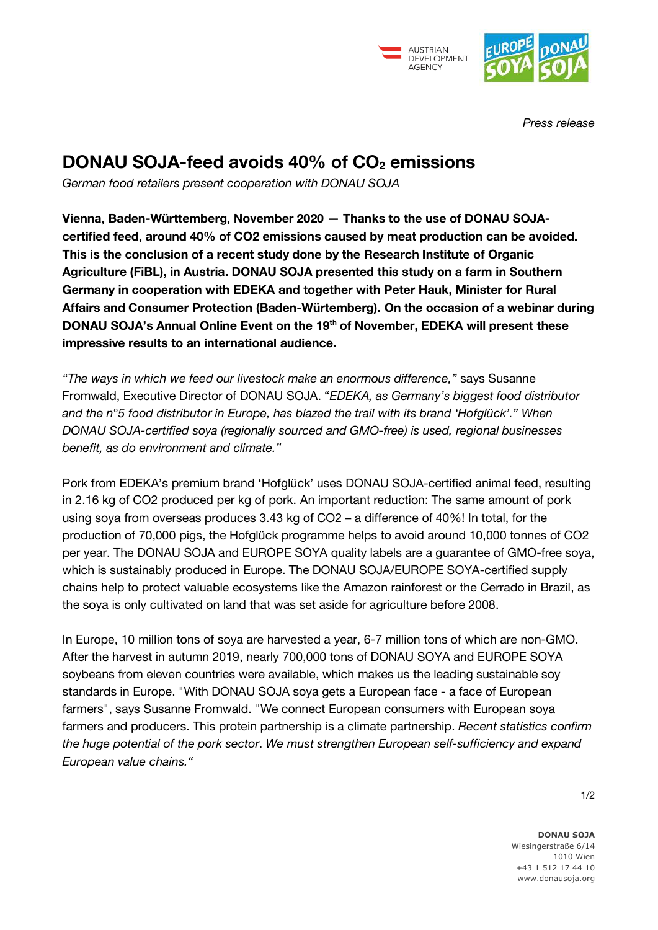



*Press release*

## **DONAU SOJA-feed avoids 40% of CO<sup>2</sup> emissions**

*German food retailers present cooperation with DONAU SOJA*

**Vienna, Baden-Württemberg, November 2020 — Thanks to the use of DONAU SOJAcertified feed, around 40% of CO2 emissions caused by meat production can be avoided. This is the conclusion of a recent study done by the Research Institute of Organic Agriculture (FiBL), in Austria. DONAU SOJA presented this study on a farm in Southern Germany in cooperation with EDEKA and together with Peter Hauk, Minister for Rural Affairs and Consumer Protection (Baden-Würtemberg). On the occasion of a webinar during DONAU SOJA's Annual Online Event on the 19th of November, EDEKA will present these impressive results to an international audience.** 

*"The ways in which we feed our livestock make an enormous difference,"* says Susanne Fromwald, Executive Director of DONAU SOJA. "*EDEKA, as Germany's biggest food distributor and the n°5 food distributor in Europe, has blazed the trail with its brand 'Hofglück'." When DONAU SOJA-certified soya (regionally sourced and GMO-free) is used, regional businesses benefit, as do environment and climate."* 

Pork from EDEKA's premium brand 'Hofglück' uses DONAU SOJA-certified animal feed, resulting in 2.16 kg of CO2 produced per kg of pork. An important reduction: The same amount of pork using soya from overseas produces 3.43 kg of CO2 – a difference of 40%! In total, for the production of 70,000 pigs, the Hofglück programme helps to avoid around 10,000 tonnes of CO2 per year. The DONAU SOJA and EUROPE SOYA quality labels are a guarantee of GMO-free soya, which is sustainably produced in Europe. The DONAU SOJA/EUROPE SOYA-certified supply chains help to protect valuable ecosystems like the Amazon rainforest or the Cerrado in Brazil, as the soya is only cultivated on land that was set aside for agriculture before 2008.

In Europe, 10 million tons of soya are harvested a year, 6-7 million tons of which are non-GMO. After the harvest in autumn 2019, nearly 700,000 tons of DONAU SOYA and EUROPE SOYA soybeans from eleven countries were available, which makes us the leading sustainable soy standards in Europe. "With DONAU SOJA soya gets a European face - a face of European farmers", says Susanne Fromwald. "We connect European consumers with European soya farmers and producers. This protein partnership is a climate partnership. *Recent statistics confirm the huge potential of the pork sector*. *We must strengthen European self-sufficiency and expand European value chains."*

 $1/2$ 

**DONAU SOJA** Wiesingerstraße 6/14 1010 Wien +43 1 512 17 44 10 www.donausoja.org